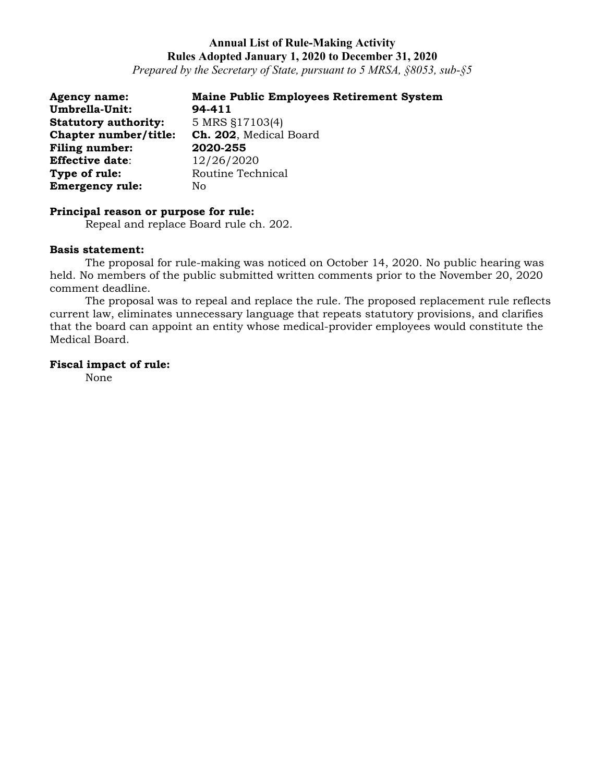*Prepared by the Secretary of State, pursuant to 5 MRSA, §8053, sub-§5*

| <b>Agency name:</b>         | <b>Maine Public Employees Retirement System</b> |
|-----------------------------|-------------------------------------------------|
| Umbrella-Unit:              | 94-411                                          |
| <b>Statutory authority:</b> | 5 MRS §17103(4)                                 |
| Chapter number/title:       | Ch. 202, Medical Board                          |
| <b>Filing number:</b>       | 2020-255                                        |
| <b>Effective date:</b>      | 12/26/2020                                      |
| Type of rule:               | Routine Technical                               |
| <b>Emergency rule:</b>      | No                                              |

#### **Principal reason or purpose for rule:**

Repeal and replace Board rule ch. 202.

#### **Basis statement:**

The proposal for rule-making was noticed on October 14, 2020. No public hearing was held. No members of the public submitted written comments prior to the November 20, 2020 comment deadline.

The proposal was to repeal and replace the rule. The proposed replacement rule reflects current law, eliminates unnecessary language that repeats statutory provisions, and clarifies that the board can appoint an entity whose medical-provider employees would constitute the Medical Board.

### **Fiscal impact of rule:**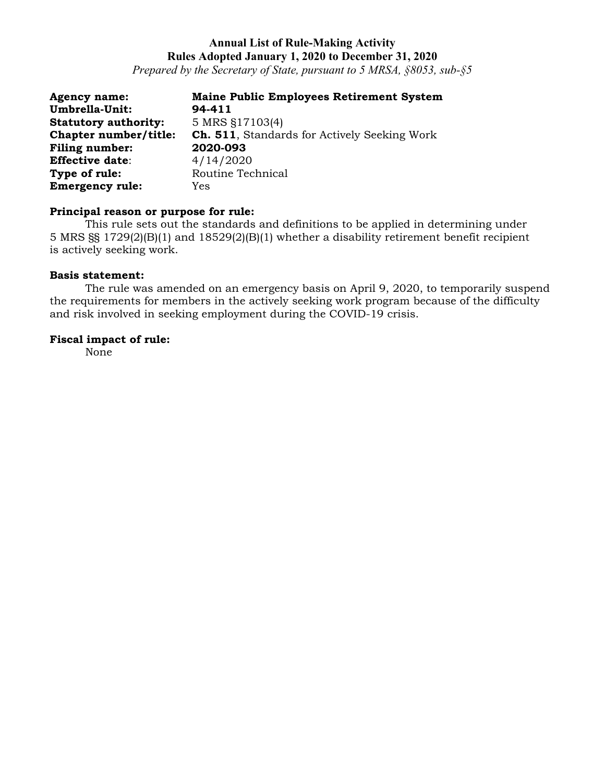*Prepared by the Secretary of State, pursuant to 5 MRSA, §8053, sub-§5*

| <b>Agency name:</b>         | <b>Maine Public Employees Retirement System</b>      |
|-----------------------------|------------------------------------------------------|
| Umbrella-Unit:              | 94-411                                               |
| <b>Statutory authority:</b> | 5 MRS §17103(4)                                      |
| Chapter number/title:       | <b>Ch. 511</b> , Standards for Actively Seeking Work |
| <b>Filing number:</b>       | 2020-093                                             |
| <b>Effective date:</b>      | 4/14/2020                                            |
| Type of rule:               | Routine Technical                                    |
| <b>Emergency rule:</b>      | Yes                                                  |

### **Principal reason or purpose for rule:**

This rule sets out the standards and definitions to be applied in determining under 5 MRS §§ 1729(2)(B)(1) and 18529(2)(B)(1) whether a disability retirement benefit recipient is actively seeking work.

### **Basis statement:**

The rule was amended on an emergency basis on April 9, 2020, to temporarily suspend the requirements for members in the actively seeking work program because of the difficulty and risk involved in seeking employment during the COVID-19 crisis.

### **Fiscal impact of rule:**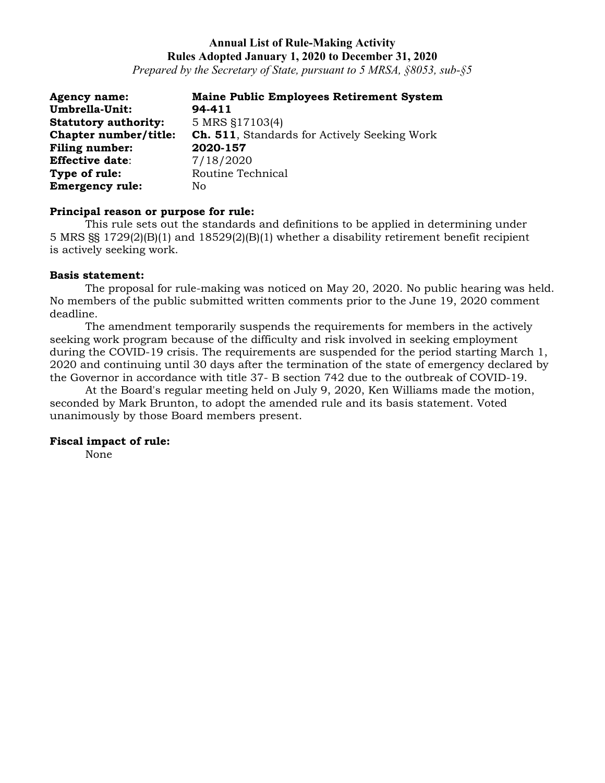*Prepared by the Secretary of State, pursuant to 5 MRSA, §8053, sub-§5*

| <b>Agency name:</b>         | <b>Maine Public Employees Retirement System</b>      |
|-----------------------------|------------------------------------------------------|
| Umbrella-Unit:              | 94-411                                               |
| <b>Statutory authority:</b> | 5 MRS §17103(4)                                      |
| Chapter number/title:       | <b>Ch. 511</b> , Standards for Actively Seeking Work |
| <b>Filing number:</b>       | 2020-157                                             |
| <b>Effective date:</b>      | 7/18/2020                                            |
| Type of rule:               | Routine Technical                                    |
| <b>Emergency rule:</b>      | No                                                   |

### **Principal reason or purpose for rule:**

This rule sets out the standards and definitions to be applied in determining under 5 MRS §§ 1729(2)(B)(1) and 18529(2)(B)(1) whether a disability retirement benefit recipient is actively seeking work.

#### **Basis statement:**

The proposal for rule-making was noticed on May 20, 2020. No public hearing was held. No members of the public submitted written comments prior to the June 19, 2020 comment deadline.

The amendment temporarily suspends the requirements for members in the actively seeking work program because of the difficulty and risk involved in seeking employment during the COVID-19 crisis. The requirements are suspended for the period starting March 1, 2020 and continuing until 30 days after the termination of the state of emergency declared by the Governor in accordance with title 37- B section 742 due to the outbreak of COVID-19.

At the Board's regular meeting held on July 9, 2020, Ken Williams made the motion, seconded by Mark Brunton, to adopt the amended rule and its basis statement. Voted unanimously by those Board members present.

### **Fiscal impact of rule:**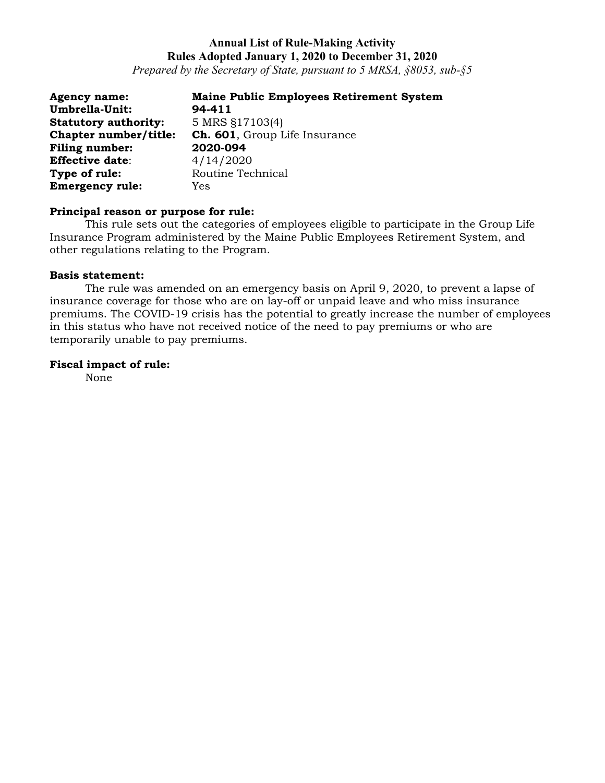*Prepared by the Secretary of State, pursuant to 5 MRSA, §8053, sub-§5*

| <b>Agency name:</b>         | <b>Maine Public Employees Retirement System</b> |
|-----------------------------|-------------------------------------------------|
| Umbrella-Unit:              | 94-411                                          |
| <b>Statutory authority:</b> | 5 MRS §17103(4)                                 |
| Chapter number/title:       | <b>Ch. 601</b> , Group Life Insurance           |
| <b>Filing number:</b>       | 2020-094                                        |
| <b>Effective date:</b>      | 4/14/2020                                       |
| Type of rule:               | Routine Technical                               |
| <b>Emergency rule:</b>      | <b>Yes</b>                                      |

## **Principal reason or purpose for rule:**

This rule sets out the categories of employees eligible to participate in the Group Life Insurance Program administered by the Maine Public Employees Retirement System, and other regulations relating to the Program.

#### **Basis statement:**

The rule was amended on an emergency basis on April 9, 2020, to prevent a lapse of insurance coverage for those who are on lay-off or unpaid leave and who miss insurance premiums. The COVID-19 crisis has the potential to greatly increase the number of employees in this status who have not received notice of the need to pay premiums or who are temporarily unable to pay premiums.

#### **Fiscal impact of rule:**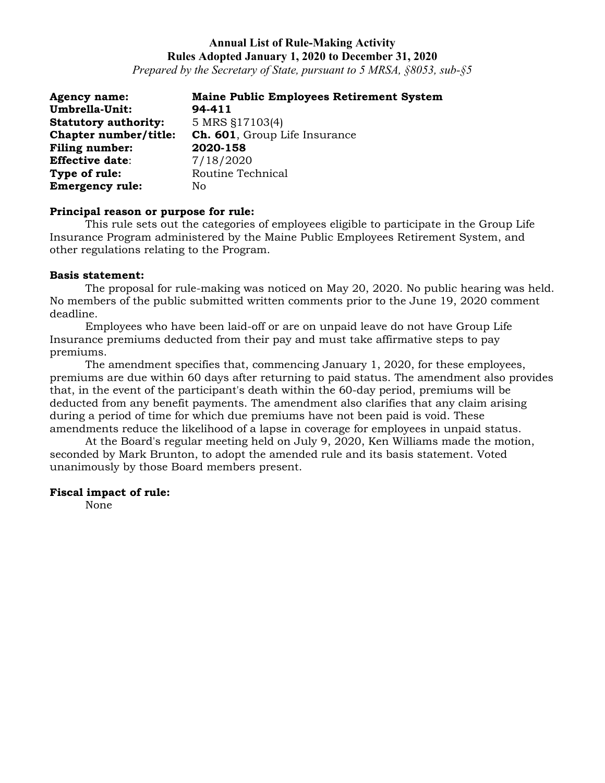*Prepared by the Secretary of State, pursuant to 5 MRSA, §8053, sub-§5*

| <b>Agency name:</b>         | <b>Maine Public Employees Retirement System</b> |
|-----------------------------|-------------------------------------------------|
| Umbrella-Unit:              | 94-411                                          |
| <b>Statutory authority:</b> | 5 MRS §17103(4)                                 |
| Chapter number/title:       | <b>Ch. 601</b> , Group Life Insurance           |
| Filing number:              | 2020-158                                        |
| <b>Effective date:</b>      | 7/18/2020                                       |
| Type of rule:               | Routine Technical                               |
| <b>Emergency rule:</b>      | No                                              |

#### **Principal reason or purpose for rule:**

This rule sets out the categories of employees eligible to participate in the Group Life Insurance Program administered by the Maine Public Employees Retirement System, and other regulations relating to the Program.

#### **Basis statement:**

The proposal for rule-making was noticed on May 20, 2020. No public hearing was held. No members of the public submitted written comments prior to the June 19, 2020 comment deadline.

Employees who have been laid-off or are on unpaid leave do not have Group Life Insurance premiums deducted from their pay and must take affirmative steps to pay premiums.

The amendment specifies that, commencing January 1, 2020, for these employees, premiums are due within 60 days after returning to paid status. The amendment also provides that, in the event of the participant's death within the 60-day period, premiums will be deducted from any benefit payments. The amendment also clarifies that any claim arising during a period of time for which due premiums have not been paid is void. These amendments reduce the likelihood of a lapse in coverage for employees in unpaid status.

At the Board's regular meeting held on July 9, 2020, Ken Williams made the motion, seconded by Mark Brunton, to adopt the amended rule and its basis statement. Voted unanimously by those Board members present.

#### **Fiscal impact of rule:**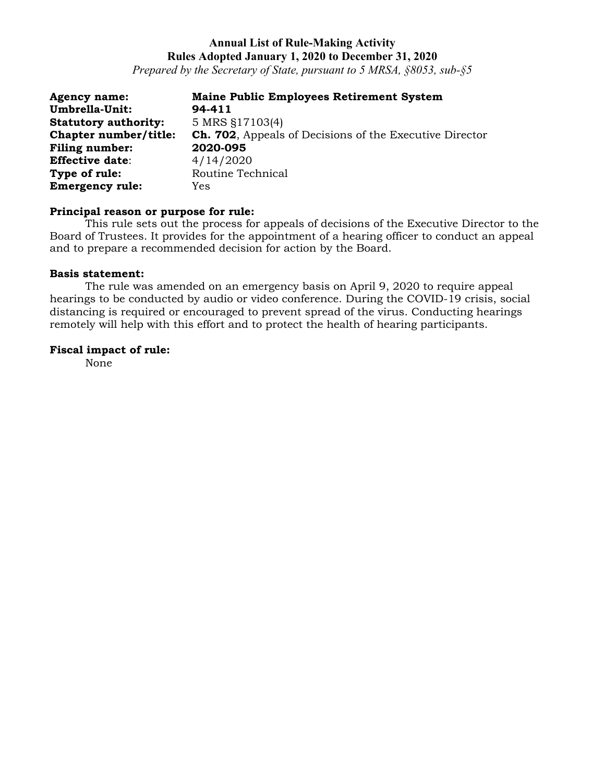*Prepared by the Secretary of State, pursuant to 5 MRSA, §8053, sub-§5*

| <b>Agency name:</b>         | <b>Maine Public Employees Retirement System</b>                |
|-----------------------------|----------------------------------------------------------------|
| Umbrella-Unit:              | 94-411                                                         |
| <b>Statutory authority:</b> | 5 MRS §17103(4)                                                |
| Chapter number/title:       | <b>Ch. 702.</b> Appeals of Decisions of the Executive Director |
| Filing number:              | 2020-095                                                       |
| <b>Effective date:</b>      | 4/14/2020                                                      |
| Type of rule:               | Routine Technical                                              |
| <b>Emergency rule:</b>      | Yes                                                            |

#### **Principal reason or purpose for rule:**

This rule sets out the process for appeals of decisions of the Executive Director to the Board of Trustees. It provides for the appointment of a hearing officer to conduct an appeal and to prepare a recommended decision for action by the Board.

#### **Basis statement:**

The rule was amended on an emergency basis on April 9, 2020 to require appeal hearings to be conducted by audio or video conference. During the COVID-19 crisis, social distancing is required or encouraged to prevent spread of the virus. Conducting hearings remotely will help with this effort and to protect the health of hearing participants.

### **Fiscal impact of rule:**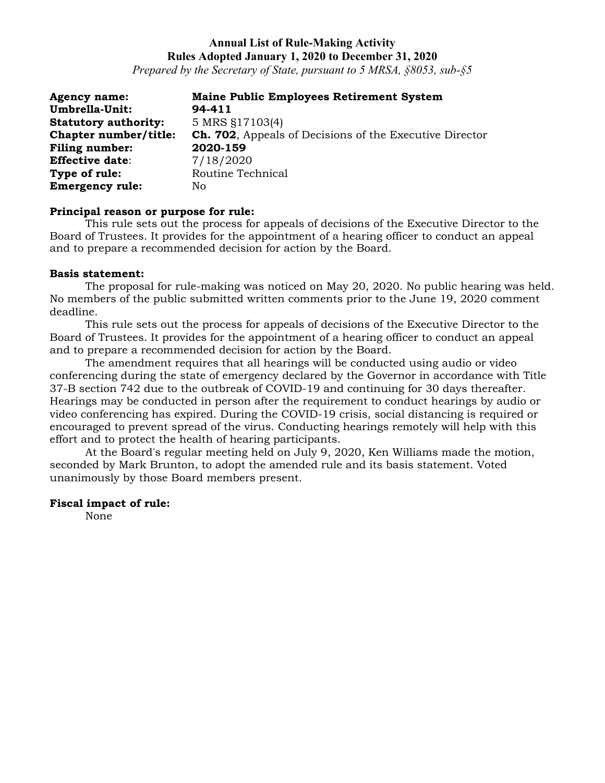*Prepared by the Secretary of State, pursuant to 5 MRSA, §8053, sub-§5*

| <b>Agency name:</b>         | <b>Maine Public Employees Retirement System</b>                |
|-----------------------------|----------------------------------------------------------------|
| Umbrella-Unit:              | 94-411                                                         |
| <b>Statutory authority:</b> | 5 MRS §17103(4)                                                |
| Chapter number/title:       | <b>Ch. 702.</b> Appeals of Decisions of the Executive Director |
| Filing number:              | 2020-159                                                       |
| <b>Effective date:</b>      | 7/18/2020                                                      |
| Type of rule:               | Routine Technical                                              |
| <b>Emergency rule:</b>      | No.                                                            |

### **Principal reason or purpose for rule:**

This rule sets out the process for appeals of decisions of the Executive Director to the Board of Trustees. It provides for the appointment of a hearing officer to conduct an appeal and to prepare a recommended decision for action by the Board.

### **Basis statement:**

The proposal for rule-making was noticed on May 20, 2020. No public hearing was held. No members of the public submitted written comments prior to the June 19, 2020 comment deadline.

This rule sets out the process for appeals of decisions of the Executive Director to the Board of Trustees. It provides for the appointment of a hearing officer to conduct an appeal and to prepare a recommended decision for action by the Board.

The amendment requires that all hearings will be conducted using audio or video conferencing during the state of emergency declared by the Governor in accordance with Title 37-B section 742 due to the outbreak of COVID-19 and continuing for 30 days thereafter. Hearings may be conducted in person after the requirement to conduct hearings by audio or video conferencing has expired. During the COVID-19 crisis, social distancing is required or encouraged to prevent spread of the virus. Conducting hearings remotely will help with this effort and to protect the health of hearing participants.

At the Board's regular meeting held on July 9, 2020, Ken Williams made the motion, seconded by Mark Brunton, to adopt the amended rule and its basis statement. Voted unanimously by those Board members present.

### **Fiscal impact of rule:**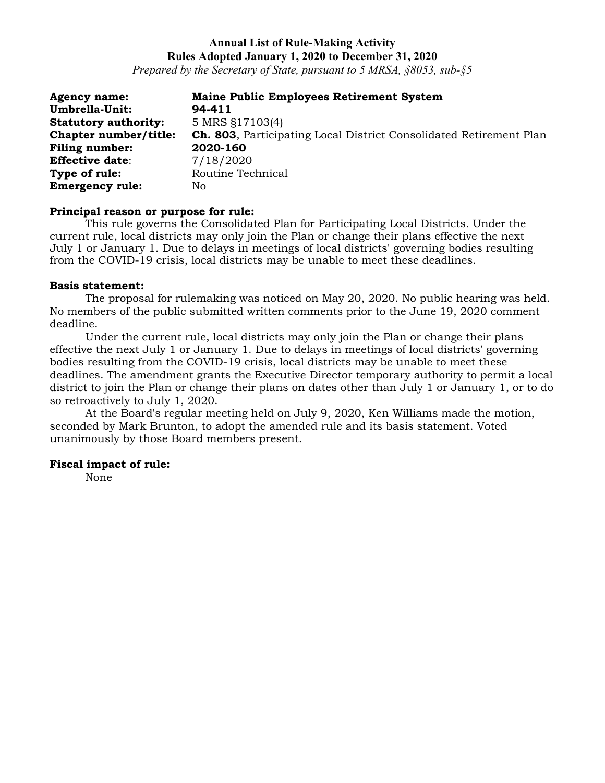*Prepared by the Secretary of State, pursuant to 5 MRSA, §8053, sub-§5*

| <b>Agency name:</b>         | <b>Maine Public Employees Retirement System</b>                            |
|-----------------------------|----------------------------------------------------------------------------|
| Umbrella-Unit:              | 94-411                                                                     |
| <b>Statutory authority:</b> | 5 MRS §17103(4)                                                            |
| Chapter number/title:       | <b>Ch. 803</b> , Participating Local District Consolidated Retirement Plan |
| Filing number:              | 2020-160                                                                   |
| <b>Effective date:</b>      | 7/18/2020                                                                  |
| Type of rule:               | Routine Technical                                                          |
| <b>Emergency rule:</b>      | No.                                                                        |

#### **Principal reason or purpose for rule:**

This rule governs the Consolidated Plan for Participating Local Districts. Under the current rule, local districts may only join the Plan or change their plans effective the next July 1 or January 1. Due to delays in meetings of local districts' governing bodies resulting from the COVID-19 crisis, local districts may be unable to meet these deadlines.

#### **Basis statement:**

The proposal for rulemaking was noticed on May 20, 2020. No public hearing was held. No members of the public submitted written comments prior to the June 19, 2020 comment deadline.

Under the current rule, local districts may only join the Plan or change their plans effective the next July 1 or January 1. Due to delays in meetings of local districts' governing bodies resulting from the COVID-19 crisis, local districts may be unable to meet these deadlines. The amendment grants the Executive Director temporary authority to permit a local district to join the Plan or change their plans on dates other than July 1 or January 1, or to do so retroactively to July 1, 2020.

At the Board's regular meeting held on July 9, 2020, Ken Williams made the motion, seconded by Mark Brunton, to adopt the amended rule and its basis statement. Voted unanimously by those Board members present.

### **Fiscal impact of rule:**